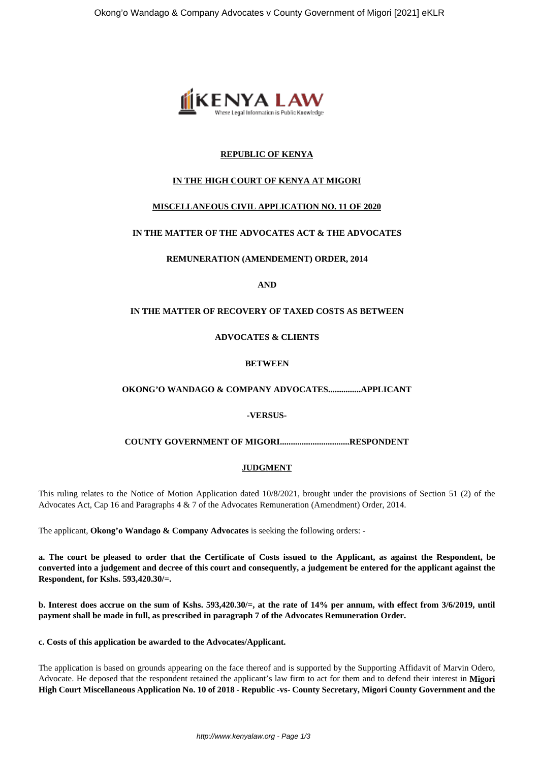

## **REPUBLIC OF KENYA**

# **IN THE HIGH COURT OF KENYA AT MIGORI**

# **MISCELLANEOUS CIVIL APPLICATION NO. 11 OF 2020**

# **IN THE MATTER OF THE ADVOCATES ACT & THE ADVOCATES**

## **REMUNERATION (AMENDEMENT) ORDER, 2014**

#### **AND**

## **IN THE MATTER OF RECOVERY OF TAXED COSTS AS BETWEEN**

#### **ADVOCATES & CLIENTS**

## **BETWEEN**

## **OKONG'O WANDAGO & COMPANY ADVOCATES...............APPLICANT**

#### **-VERSUS-**

#### **COUNTY GOVERNMENT OF MIGORI................................RESPONDENT**

## **JUDGMENT**

This ruling relates to the Notice of Motion Application dated 10/8/2021, brought under the provisions of Section 51 (2) of the Advocates Act, Cap 16 and Paragraphs 4 & 7 of the Advocates Remuneration (Amendment) Order, 2014.

The applicant, **Okong'o Wandago & Company Advocates** is seeking the following orders: -

**a. The court be pleased to order that the Certificate of Costs issued to the Applicant, as against the Respondent, be converted into a judgement and decree of this court and consequently, a judgement be entered for the applicant against the Respondent, for Kshs. 593,420.30/=.**

**b. Interest does accrue on the sum of Kshs. 593,420.30/=, at the rate of 14% per annum, with effect from 3/6/2019, until payment shall be made in full, as prescribed in paragraph 7 of the Advocates Remuneration Order.** 

#### **c. Costs of this application be awarded to the Advocates/Applicant.**

The application is based on grounds appearing on the face thereof and is supported by the Supporting Affidavit of Marvin Odero, Advocate. He deposed that the respondent retained the applicant's law firm to act for them and to defend their interest in **Migori High Court Miscellaneous Application No. 10 of 2018 - Republic -vs- County Secretary, Migori County Government and the**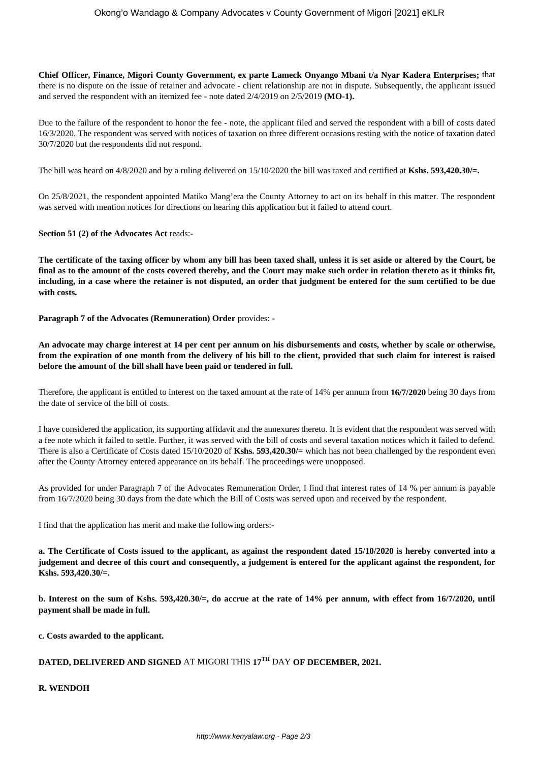**Chief Officer, Finance, Migori County Government, ex parte Lameck Onyango Mbani t/a Nyar Kadera Enterprises;** that there is no dispute on the issue of retainer and advocate - client relationship are not in dispute. Subsequently, the applicant issued and served the respondent with an itemized fee - note dated 2/4/2019 on 2/5/2019 **(MO-1).**

Due to the failure of the respondent to honor the fee - note, the applicant filed and served the respondent with a bill of costs dated 16/3/2020. The respondent was served with notices of taxation on three different occasions resting with the notice of taxation dated 30/7/2020 but the respondents did not respond.

The bill was heard on 4/8/2020 and by a ruling delivered on 15/10/2020 the bill was taxed and certified at **Kshs. 593,420.30/=.**

On 25/8/2021, the respondent appointed Matiko Mang'era the County Attorney to act on its behalf in this matter. The respondent was served with mention notices for directions on hearing this application but it failed to attend court.

**Section 51 (2) of the Advocates Act** reads:-

**The certificate of the taxing officer by whom any bill has been taxed shall, unless it is set aside or altered by the Court, be final as to the amount of the costs covered thereby, and the Court may make such order in relation thereto as it thinks fit, including, in a case where the retainer is not disputed, an order that judgment be entered for the sum certified to be due with costs.**

**Paragraph 7 of the Advocates (Remuneration) Order** provides: -

**An advocate may charge interest at 14 per cent per annum on his disbursements and costs, whether by scale or otherwise, from the expiration of one month from the delivery of his bill to the client, provided that such claim for interest is raised before the amount of the bill shall have been paid or tendered in full.**

Therefore, the applicant is entitled to interest on the taxed amount at the rate of 14% per annum from **16/7/2020** being 30 days from the date of service of the bill of costs.

I have considered the application, its supporting affidavit and the annexures thereto. It is evident that the respondent was served with a fee note which it failed to settle. Further, it was served with the bill of costs and several taxation notices which it failed to defend. There is also a Certificate of Costs dated 15/10/2020 of **Kshs. 593,420.30/=** which has not been challenged by the respondent even after the County Attorney entered appearance on its behalf. The proceedings were unopposed.

As provided for under Paragraph 7 of the Advocates Remuneration Order, I find that interest rates of 14 % per annum is payable from 16/7/2020 being 30 days from the date which the Bill of Costs was served upon and received by the respondent.

I find that the application has merit and make the following orders:-

**a. The Certificate of Costs issued to the applicant, as against the respondent dated 15/10/2020 is hereby converted into a judgement and decree of this court and consequently, a judgement is entered for the applicant against the respondent, for Kshs. 593,420.30/=.**

**b. Interest on the sum of Kshs. 593,420.30/=, do accrue at the rate of 14% per annum, with effect from 16/7/2020, until payment shall be made in full.** 

**c. Costs awarded to the applicant.**

# **DATED, DELIVERED AND SIGNED** AT MIGORI THIS **17TH** DAY **OF DECEMBER, 2021.**

**R. WENDOH**